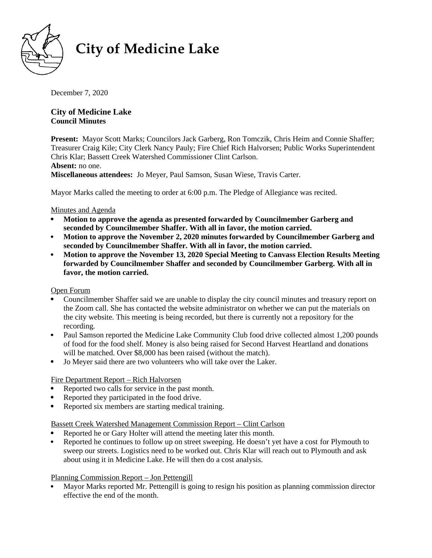

# **City of Medicine Lake**

December 7, 2020  $1060$  South Shore Drive  $\frac{1}{2}$ 

# **City of Medicine Lake Council Minutes**

**Present:** Mayor Scott Marks; Councilors Jack Garberg, Ron Tomczik, Chris Heim and Connie Shaffer; Treasurer Craig Kile; City Clerk Nancy Pauly; Fire Chief Rich Halvorsen; Public Works Superintendent Chris Klar; Bassett Creek Watershed Commissioner Clint Carlson. **Absent:** no one.

**Miscellaneous attendees:** Jo Meyer, Paul Samson, Susan Wiese, Travis Carter.

Mayor Marks called the meeting to order at 6:00 p.m. The Pledge of Allegiance was recited.

# Minutes and Agenda

- **Motion to approve the agenda as presented forwarded by Councilmember Garberg and seconded by Councilmember Shaffer. With all in favor, the motion carried.**
- **Motion to approve the November 2, 2020 minutes forwarded by Councilmember Garberg and seconded by Councilmember Shaffer. With all in favor, the motion carried.**
- **Motion to approve the November 13, 2020 Special Meeting to Canvass Election Results Meeting forwarded by Councilmember Shaffer and seconded by Councilmember Garberg. With all in favor, the motion carried.**

# Open Forum

- Councilmember Shaffer said we are unable to display the city council minutes and treasury report on the Zoom call. She has contacted the website administrator on whether we can put the materials on the city website. This meeting is being recorded, but there is currently not a repository for the recording.
- Paul Samson reported the Medicine Lake Community Club food drive collected almost 1,200 pounds of food for the food shelf. Money is also being raised for Second Harvest Heartland and donations will be matched. Over \$8,000 has been raised (without the match).
- Jo Meyer said there are two volunteers who will take over the Laker.

# Fire Department Report – Rich Halvorsen

- Reported two calls for service in the past month.
- Reported they participated in the food drive.
- Reported six members are starting medical training.

# Bassett Creek Watershed Management Commission Report – Clint Carlson

- Reported he or Gary Holter will attend the meeting later this month.
- Reported he continues to follow up on street sweeping. He doesn't yet have a cost for Plymouth to sweep our streets. Logistics need to be worked out. Chris Klar will reach out to Plymouth and ask about using it in Medicine Lake. He will then do a cost analysis.

# Planning Commission Report – Jon Pettengill

 Mayor Marks reported Mr. Pettengill is going to resign his position as planning commission director effective the end of the month.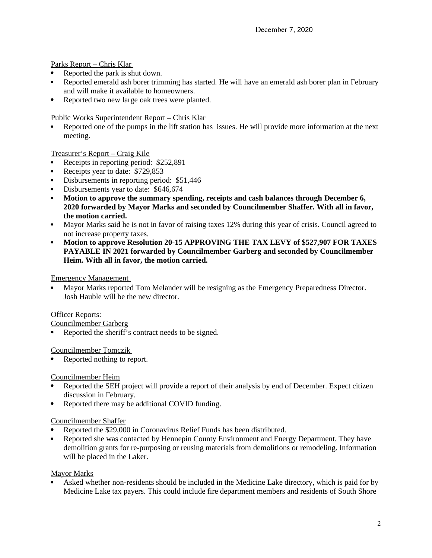Parks Report – Chris Klar

- Reported the park is shut down.
- Reported emerald ash borer trimming has started. He will have an emerald ash borer plan in February and will make it available to homeowners.
- Reported two new large oak trees were planted.

Public Works Superintendent Report – Chris Klar

 Reported one of the pumps in the lift station has issues. He will provide more information at the next meeting.

Treasurer's Report – Craig Kile

- Receipts in reporting period: \$252,891
- Receipts year to date: \$729,853
- Disbursements in reporting period: \$51,446
- Disbursements year to date: \$646,674
- **Motion to approve the summary spending, receipts and cash balances through December 6, 2020 forwarded by Mayor Marks and seconded by Councilmember Shaffer. With all in favor, the motion carried.**
- Mayor Marks said he is not in favor of raising taxes 12% during this year of crisis. Council agreed to not increase property taxes.
- **Motion to approve Resolution 20-15 APPROVING THE TAX LEVY of \$527,907 FOR TAXES PAYABLE IN 2021 forwarded by Councilmember Garberg and seconded by Councilmember Heim. With all in favor, the motion carried.**

Emergency Management

 Mayor Marks reported Tom Melander will be resigning as the Emergency Preparedness Director. Josh Hauble will be the new director.

#### Officer Reports:

Councilmember Garberg

Reported the sheriff's contract needs to be signed.

Councilmember Tomczik

Reported nothing to report.

#### Councilmember Heim

- Reported the SEH project will provide a report of their analysis by end of December. Expect citizen discussion in February.
- Reported there may be additional COVID funding.

#### Councilmember Shaffer

- Reported the \$29,000 in Coronavirus Relief Funds has been distributed.
- Reported she was contacted by Hennepin County Environment and Energy Department. They have demolition grants for re-purposing or reusing materials from demolitions or remodeling. Information will be placed in the Laker.

#### Mayor Marks

 Asked whether non-residents should be included in the Medicine Lake directory, which is paid for by Medicine Lake tax payers. This could include fire department members and residents of South Shore